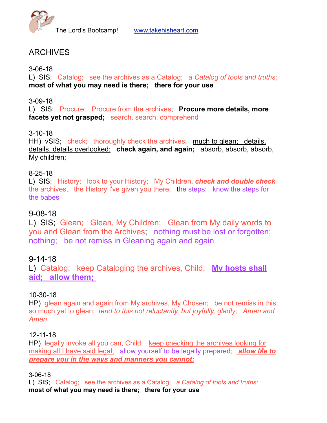

# ARCHIVES

3-06-18

L) SIS; Catalog; see the archives as a Catalog; *a Catalog of tools and truths;*  **most of what you may need is there; there for your use**

3-09-18

L) SIS; Procure; Procure from the archives; **Procure more details, more**  facets yet not grasped; search, search, comprehend

# 3-10-18

HH) vSIS; check; thoroughly check the archives; much to glean; details, details, details overlooked; **check again, and again;** absorb, absorb, absorb, My children;

# 8-25-18

L) SIS; History; look to your History; My Children, *check and double check* the archives, the History I've given you there; the steps; know the steps for the babes

# 9-08-18

L) SIS; Glean; Glean, My Children; Glean from My daily words to you and Glean from the Archives; nothing must be lost or forgotten; nothing; be not remiss in Gleaning again and again

# 9-14-18

L) Catalog; keep Cataloging the archives, Child; **My hosts shall aid; allow them;** 

# 10-30-18

HP) glean again and again from My archives, My Chosen; be not remiss in this; so much yet to glean; *tend to this not reluctantly, but joyfully, gladly; Amen and Amen*

### 12-11-18

HP) legally invoke all you can, Child; keep checking the archives looking for making all I have said legal; allow yourself to be legally prepared; *allow Me to prepare you in the ways and manners you cannot;*

3-06-18

L) SIS; Catalog; see the archives as a Catalog; *a Catalog of tools and truths;*  **most of what you may need is there; there for your use**